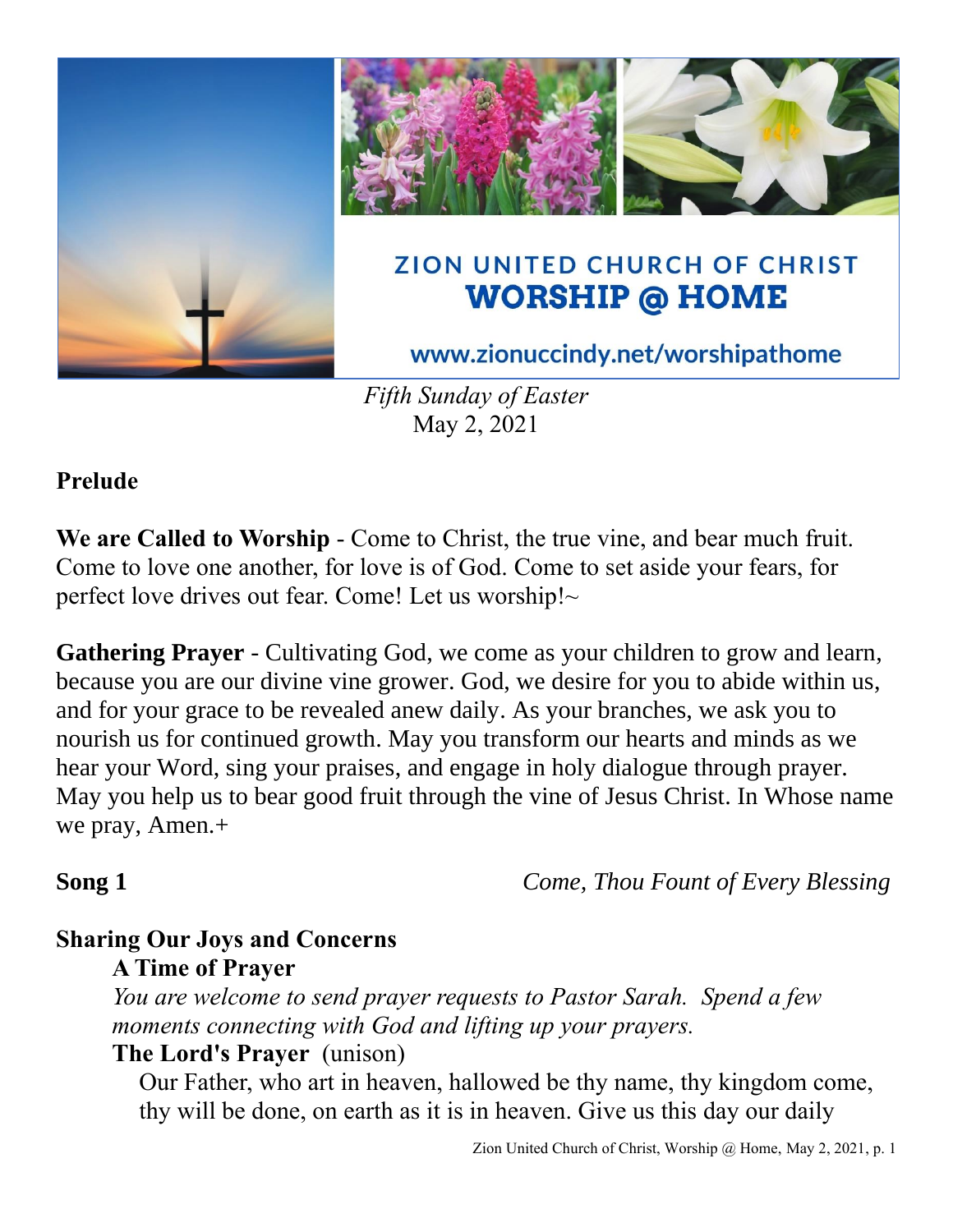

*Fifth Sunday of Easter* May 2, 2021

## **Prelude**

**We are Called to Worship** - Come to Christ, the true vine, and bear much fruit. Come to love one another, for love is of God. Come to set aside your fears, for perfect love drives out fear. Come! Let us worship!~

**Gathering Prayer** - Cultivating God, we come as your children to grow and learn, because you are our divine vine grower. God, we desire for you to abide within us, and for your grace to be revealed anew daily. As your branches, we ask you to nourish us for continued growth. May you transform our hearts and minds as we hear your Word, sing your praises, and engage in holy dialogue through prayer. May you help us to bear good fruit through the vine of Jesus Christ. In Whose name we pray, Amen.+

**Song 1** *Come, Thou Fount of Every Blessing*

# **Sharing Our Joys and Concerns**

## **A Time of Prayer**

*You are welcome to send prayer requests to Pastor Sarah. Spend a few moments connecting with God and lifting up your prayers.*

## **The Lord's Prayer** (unison)

Our Father, who art in heaven, hallowed be thy name, thy kingdom come, thy will be done, on earth as it is in heaven. Give us this day our daily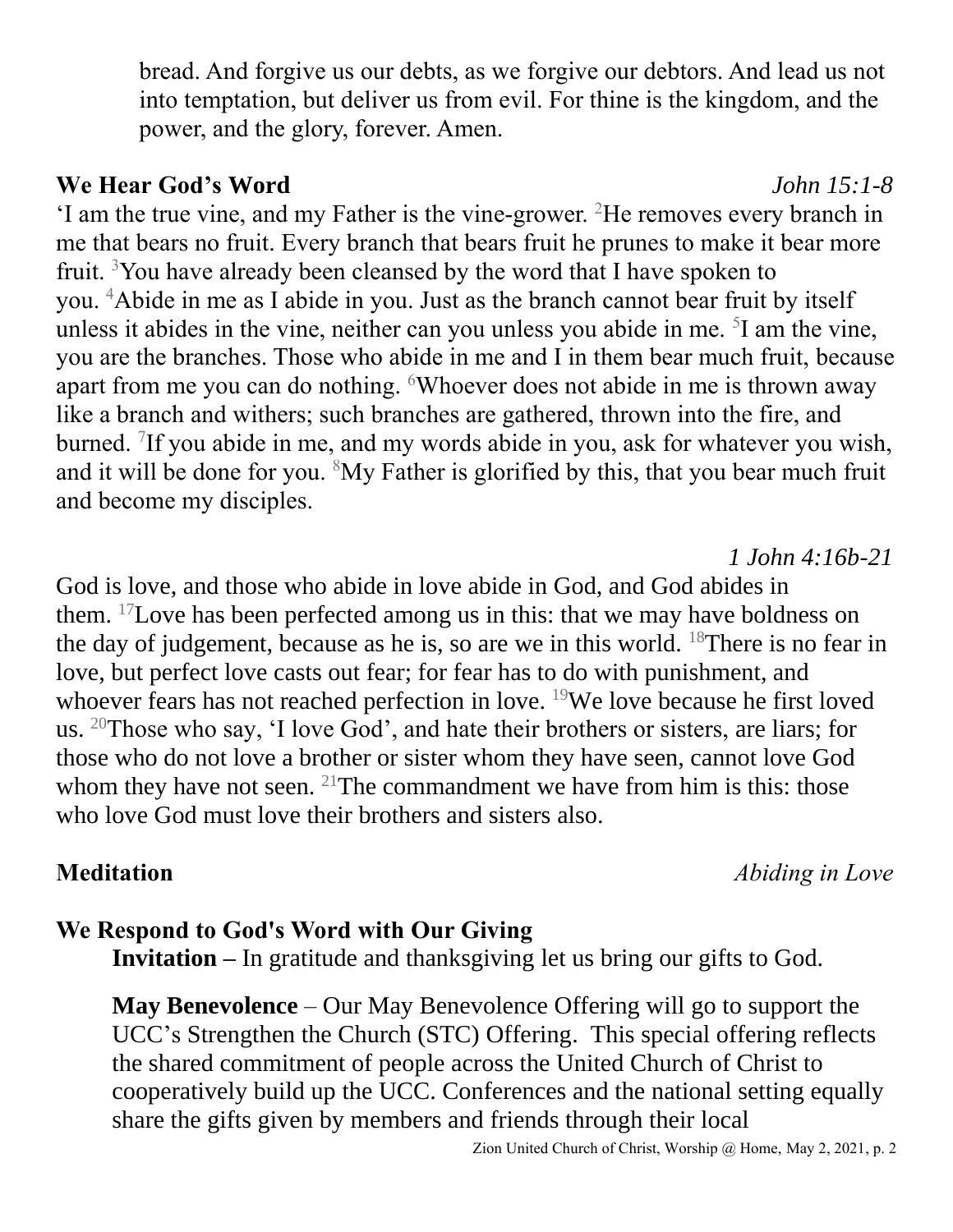bread. And forgive us our debts, as we forgive our debtors. And lead us not into temptation, but deliver us from evil. For thine is the kingdom, and the power, and the glory, forever. Amen.

### **We Hear God's Word** *John 15:1-8*

'I am the true vine, and my Father is the vine-grower. <sup>2</sup>He removes every branch in me that bears no fruit. Every branch that bears fruit he prunes to make it bear more fruit. <sup>3</sup>You have already been cleansed by the word that I have spoken to you. <sup>4</sup>Abide in me as I abide in you. Just as the branch cannot bear fruit by itself unless it abides in the vine, neither can you unless you abide in me. <sup>5</sup>I am the vine, you are the branches. Those who abide in me and I in them bear much fruit, because apart from me you can do nothing. <sup>6</sup>Whoever does not abide in me is thrown away like a branch and withers; such branches are gathered, thrown into the fire, and burned. <sup>7</sup>If you abide in me, and my words abide in you, ask for whatever you wish, and it will be done for you.  $8My$  Father is glorified by this, that you bear much fruit and become my disciples.

God is love, and those who abide in love abide in God, and God abides in them. <sup>17</sup>Love has been perfected among us in this: that we may have boldness on the day of judgement, because as he is, so are we in this world. <sup>18</sup>There is no fear in love, but perfect love casts out fear; for fear has to do with punishment, and whoever fears has not reached perfection in love. <sup>19</sup>We love because he first loved us. <sup>20</sup>Those who say, 'I love God', and hate their brothers or sisters, are liars; for those who do not love a brother or sister whom they have seen, cannot love God whom they have not seen. <sup>21</sup>The commandment we have from him is this: those who love God must love their brothers and sisters also.

# **Meditation** *Abiding in Love*

*1 John 4:16b-21*

## **We Respond to God's Word with Our Giving**

**Invitation** – In gratitude and thanksgiving let us bring our gifts to God.

**May Benevolence** – Our May Benevolence Offering will go to support the UCC's Strengthen the Church (STC) Offering. This special offering reflects the shared commitment of people across the United Church of Christ to cooperatively build up the UCC. Conferences and the national setting equally share the gifts given by members and friends through their local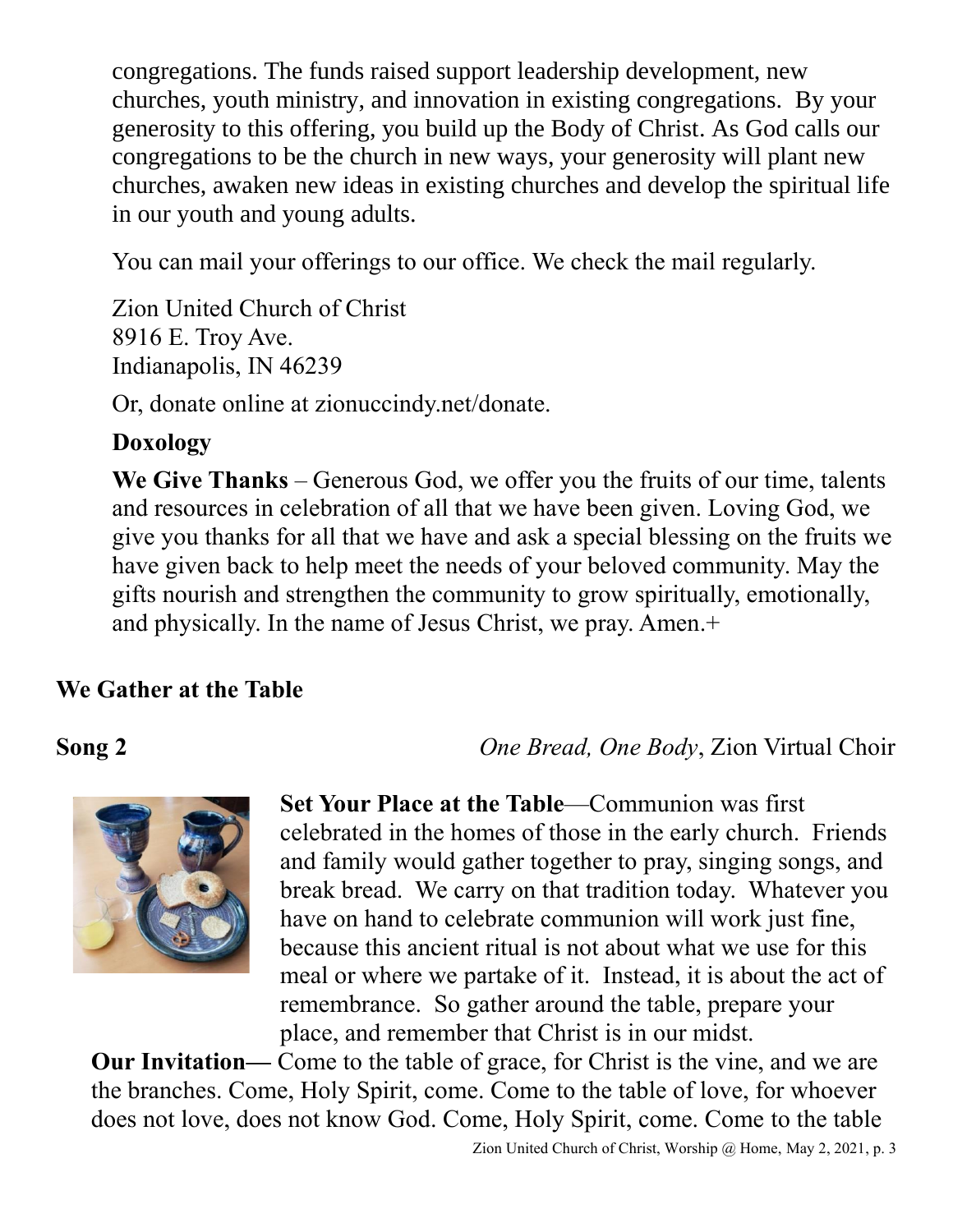congregations. The funds raised support leadership development, new churches, youth ministry, and innovation in existing congregations. By your generosity to this offering, you build up the Body of Christ. As God calls our congregations to be the church in new ways, your generosity will plant new churches, awaken new ideas in existing churches and develop the spiritual life in our youth and young adults.

You can mail your offerings to our office. We check the mail regularly.

Zion United Church of Christ 8916 E. Troy Ave. Indianapolis, IN 46239

Or, donate online at zionuccindy.net/donate.

# **Doxology**

**We Give Thanks** – Generous God, we offer you the fruits of our time, talents and resources in celebration of all that we have been given. Loving God, we give you thanks for all that we have and ask a special blessing on the fruits we have given back to help meet the needs of your beloved community. May the gifts nourish and strengthen the community to grow spiritually, emotionally, and physically. In the name of Jesus Christ, we pray. Amen.+

# **We Gather at the Table**

# **Song 2** *One Bread, One Body*, Zion Virtual Choir



**Set Your Place at the Table**—Communion was first celebrated in the homes of those in the early church. Friends and family would gather together to pray, singing songs, and break bread. We carry on that tradition today. Whatever you have on hand to celebrate communion will work just fine, because this ancient ritual is not about what we use for this meal or where we partake of it. Instead, it is about the act of remembrance. So gather around the table, prepare your place, and remember that Christ is in our midst.

**Our Invitation—** Come to the table of grace, for Christ is the vine, and we are the branches. Come, Holy Spirit, come. Come to the table of love, for whoever does not love, does not know God. Come, Holy Spirit, come. Come to the table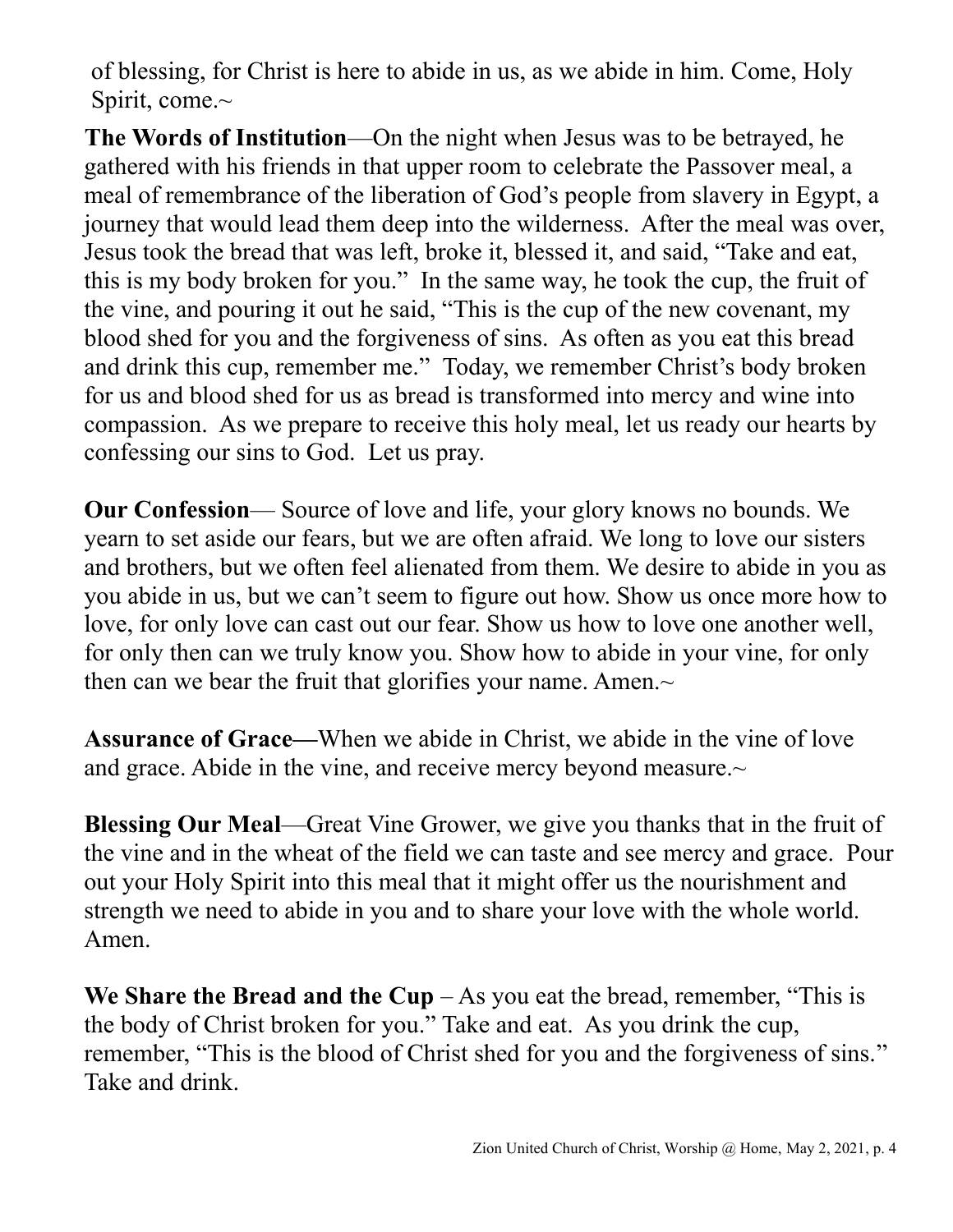of blessing, for Christ is here to abide in us, as we abide in him. Come, Holy Spirit, come.~

**The Words of Institution**—On the night when Jesus was to be betrayed, he gathered with his friends in that upper room to celebrate the Passover meal, a meal of remembrance of the liberation of God's people from slavery in Egypt, a journey that would lead them deep into the wilderness. After the meal was over, Jesus took the bread that was left, broke it, blessed it, and said, "Take and eat, this is my body broken for you." In the same way, he took the cup, the fruit of the vine, and pouring it out he said, "This is the cup of the new covenant, my blood shed for you and the forgiveness of sins. As often as you eat this bread and drink this cup, remember me." Today, we remember Christ's body broken for us and blood shed for us as bread is transformed into mercy and wine into compassion. As we prepare to receive this holy meal, let us ready our hearts by confessing our sins to God. Let us pray.

**Our Confession**— Source of love and life, your glory knows no bounds. We yearn to set aside our fears, but we are often afraid. We long to love our sisters and brothers, but we often feel alienated from them. We desire to abide in you as you abide in us, but we can't seem to figure out how. Show us once more how to love, for only love can cast out our fear. Show us how to love one another well, for only then can we truly know you. Show how to abide in your vine, for only then can we bear the fruit that glorifies your name. Amen. $\sim$ 

**Assurance of Grace—**When we abide in Christ, we abide in the vine of love and grace. Abide in the vine, and receive mercy beyond measure.~

**Blessing Our Meal**—Great Vine Grower, we give you thanks that in the fruit of the vine and in the wheat of the field we can taste and see mercy and grace. Pour out your Holy Spirit into this meal that it might offer us the nourishment and strength we need to abide in you and to share your love with the whole world. Amen.

**We Share the Bread and the Cup**  $-$  As you eat the bread, remember, "This is the body of Christ broken for you." Take and eat. As you drink the cup, remember, "This is the blood of Christ shed for you and the forgiveness of sins." Take and drink.